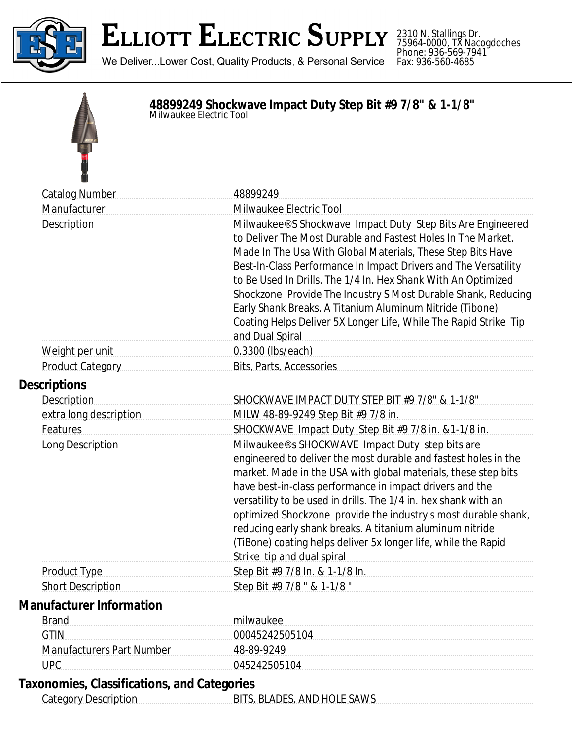

# **ELLIOTT ELECTRIC SUPPLY**

We Deliver...Lower Cost, Quality Products, & Personal Service

2310 N. Stallings Dr. 75964-0000, TX Nacogdoches Phone: 936-569-7941 Fax: 936-560-4685

### **48899249 Shockwave Impact Duty Step Bit #9 7/8" & 1-1/8"** *Milwaukee Electric Tool*



| <b>Catalog Number</b>            | 48899249                                                                                                                                                                                                                                                                                                                                                                                                                                                                                                                                           |
|----------------------------------|----------------------------------------------------------------------------------------------------------------------------------------------------------------------------------------------------------------------------------------------------------------------------------------------------------------------------------------------------------------------------------------------------------------------------------------------------------------------------------------------------------------------------------------------------|
| Manufacturer                     | Milwaukee Electric Tool                                                                                                                                                                                                                                                                                                                                                                                                                                                                                                                            |
| Description                      | Milwaukee® S Shockwave Impact Duty Step Bits Are Engineered<br>to Deliver The Most Durable and Fastest Holes In The Market.<br>Made In The Usa With Global Materials, These Step Bits Have<br>Best-In-Class Performance In Impact Drivers and The Versatility<br>to Be Used In Drills. The 1/4 In. Hex Shank With An Optimized<br>Shockzone Provide The Industry S Most Durable Shank, Reducing<br>Early Shank Breaks. A Titanium Aluminum Nitride (Tibone)<br>Coating Helps Deliver 5X Longer Life, While The Rapid Strike Tip<br>and Dual Spiral |
| Weight per unit                  | 0.3300 (lbs/each)                                                                                                                                                                                                                                                                                                                                                                                                                                                                                                                                  |
| Product Category                 | Bits, Parts, Accessories                                                                                                                                                                                                                                                                                                                                                                                                                                                                                                                           |
| <b>Descriptions</b>              |                                                                                                                                                                                                                                                                                                                                                                                                                                                                                                                                                    |
| <b>Description</b>               | SHOCKWAVE IMPACT DUTY STEP BIT #9 7/8" & 1-1/8"                                                                                                                                                                                                                                                                                                                                                                                                                                                                                                    |
| extra long description           | MILW 48-89-9249 Step Bit #9 7/8 in.                                                                                                                                                                                                                                                                                                                                                                                                                                                                                                                |
| Features                         | SHOCKWAVE Impact Duty Step Bit #9 7/8 in. & 1-1/8 in.                                                                                                                                                                                                                                                                                                                                                                                                                                                                                              |
| Long Description                 | Milwaukee® s SHOCKWAVE Impact Duty step bits are<br>engineered to deliver the most durable and fastest holes in the<br>market. Made in the USA with global materials, these step bits<br>have best-in-class performance in impact drivers and the<br>versatility to be used in drills. The 1/4 in. hex shank with an<br>optimized Shockzone provide the industry s most durable shank,<br>reducing early shank breaks. A titanium aluminum nitride<br>(TiBone) coating helps deliver 5x longer life, while the Rapid<br>Strike tip and dual spiral |
| Product Type                     | Step Bit #9 7/8 ln. & 1-1/8 ln.                                                                                                                                                                                                                                                                                                                                                                                                                                                                                                                    |
| <b>Short Description</b>         | Step Bit #9 7/8 " & 1-1/8 "                                                                                                                                                                                                                                                                                                                                                                                                                                                                                                                        |
| <b>Manufacturer Information</b>  |                                                                                                                                                                                                                                                                                                                                                                                                                                                                                                                                                    |
| <b>Brand</b>                     | milwaukee                                                                                                                                                                                                                                                                                                                                                                                                                                                                                                                                          |
| <b>GTIN</b>                      | 00045242505104                                                                                                                                                                                                                                                                                                                                                                                                                                                                                                                                     |
| <b>Manufacturers Part Number</b> | 48-89-9249                                                                                                                                                                                                                                                                                                                                                                                                                                                                                                                                         |
| <b>UPC</b>                       | 045242505104                                                                                                                                                                                                                                                                                                                                                                                                                                                                                                                                       |
|                                  |                                                                                                                                                                                                                                                                                                                                                                                                                                                                                                                                                    |

#### **Taxonomies, Classifications, and Categories**

Category Description BITS, BLADES, AND HOLE SAWS